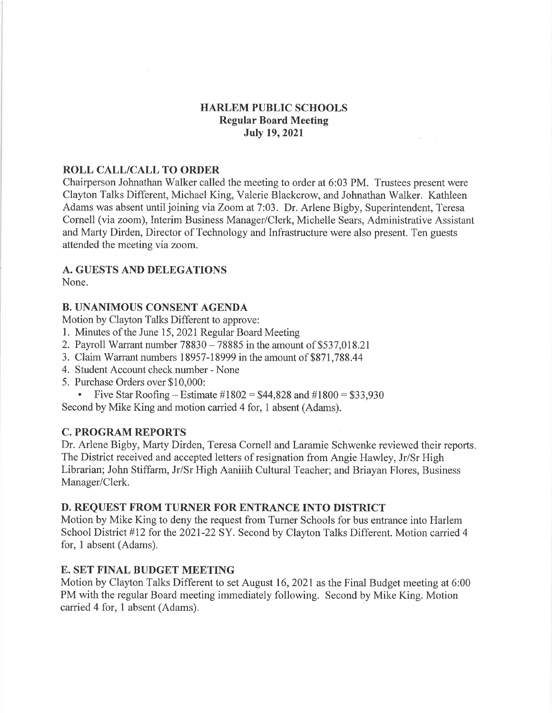### HARLEM PUBLIC SCHOOLS Regular Board Meeting July 19,2021

#### ROLL CALL/CALL TO ORDER

Chairperson Johnathan Walker called the meeting to order at 6:03 PM. Trustees present were Clayton Talks Different, Michael King, Valerie Blackcrow, and Johnathan Walker. Kathleen Adams was absent until joining via Zoom at 7:03. Dr. Arlene Bigby, Superintendent, Teresa Cornell (via zoom), Interim Business Manager/Clerk, Michelle Sears, Administrative Assistant and Marty Dirden, Director of Technology and Infrastructure were also present. Ten guests attended the meeting via zoom.

#### A. GUESTS AND DELEGATIONS

None.

#### B. UNANIMOUS CONSENT AGENDA

Motion by Clayton Talks Different to approve:

- l. Minutes of the June 15, 2021 Regular Board Meeting
- 2. Payroll Warrant number  $78830 78885$  in the amount of \$537,018.21
- 3. Claim Warrant numbers 18957 -18999 in the amount of \$871,788.44
- 4. Student Account check number None
- 5. Purchase Orders over \$10,000:
- Five Star Roofing Estimate  $\#1802 = $44,828$  and  $\#1800 = $33,930$

Second by Mike King and motion carried 4 for, 1 absent (Adams).

### C. PROGRAM REPORTS

Dr. Arlene Bigby, Marty Dirden, Teresa Cornell and Laramie Schwenke reviewed their reports. The District received and accepted letters of resignation from Angie Hawley, Jr/Sr High Librarian; John Stiffarm, Jr/Sr High Aaniiih Cultural Teacher; and Briayan Flores, Business Manager/Clerk.

#### D. REQUEST FROM TURNER FOR ENTRANCE INTO DISTRICT

Motion by Mike King to deny the request from Turner Schools for bus entrance into Harlem School District #12 for the 2021-22 SY. Second by Clayton Talks Different. Motion carried 4 for, I absent (Adams).

### E. SET FINAL BUDGET MEETING

Motion by Clayton Talks Different to set August 16, 2021 as the Final Budget meeting at 6:00 PM with the regular Board meeting immediately following. Second by Mike King. Motion carried 4 for, 1 absent (Adams).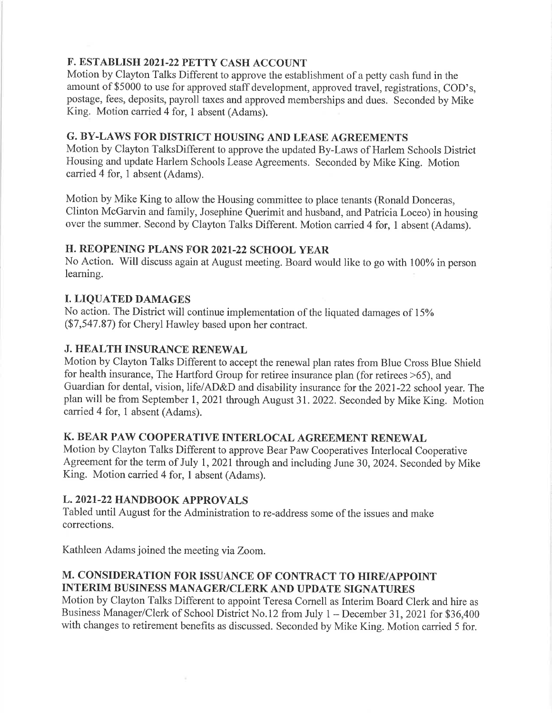## F. ESTABLISH 2O2I-22 PETTY CASH ACCOUNT

Motion by Clayton Talks Different to approve the establishment of a petty cash fund in the amount of \$5000 to use for approved staff development, approved travel, registrations, COD's, postage, fees, deposits, payroll taxes and approved memberships and dues. Seconded by Mike King. Motion carried 4 for, 1 absent (Adams).

### G. BY-LAWS FOR DISTRICT HOUSING AND LEASE AGREEMENTS

Motion by Clayton TalksDifferent to approve the updated By-Laws of Harlem Schools District Housing and update Harlem Schools Lease Agreements. Seconded by Mike King. Motion carried 4 for, 1 absent (Adams).

Motion by Mike King to allow the Housing committee to place tenants (Ronald Donceras, Clinton McGarvin and family, Josephine Querimit and husband, and Patricia Loceo) in housing over the summer. Second by Clayton Talks Different. Motion carried 4 for, I absent (Adams).

### H. REOPENING PLANS FOR 2021.22 SCHOOL YEAR

No Action. Will discuss again at August meeting. Board would like to go with 100% in person learning.

## I. LIQUATED DAMAGES

No action. The District will continue implementation of the liquated damages of 15% (57,547.87) for Cheryl Hawley based upon her contract.

## **J. HEALTH INSURANCE RENEWAL**

Motion by Clayton Talks Different to accept the renewal plan rates from Blue Cross Blue Shield for health insurance, The Hartford Group for retiree insurance plan (for retirees >65), and Guardian for dental, vision, life/AD&D and disability insurance for the 202I-22 school year. The plan will be from September 1, 2021 through August 31. 2022. Seconded by Mike King. Motion carried 4 for, 1 absent (Adams).

# K. BEAR PAW COOPERATIVE INTERLOCAL AGREEMENT RENEWAL

Motion by Clayton Talks Different to approve Bear Paw Cooperatives Interlocal Cooperative Agreement for the term of July 1, 2021 through and including June 30, 2024. Seconded by Mike King. Motion carried 4 for, 1 absent (Adams).

## L. 2O2I-22 HANDBOOK APPROVALS

Tabled until August for the Administration to re-address some of the issues and make corrections.

Kathleen Adams joined the meeting via Zoom.

# M. CONSIDERATION FOR ISSUANCE OF CONTRACT TO HIRE/APPOINT INTERIM BUSINESS MANAGER/CLERK AND UPDATE SIGNATURES

Motion by Clayton Talks Different to appoint Teresa Cornell as Interim Board Clerk and hire as Business Manager/Clerk of School District No.12 from July 1 - December 31, 2021 for \$36,400 with changes to retirement benefits as discussed. Seconded by Mike King. Motion carried 5 for.